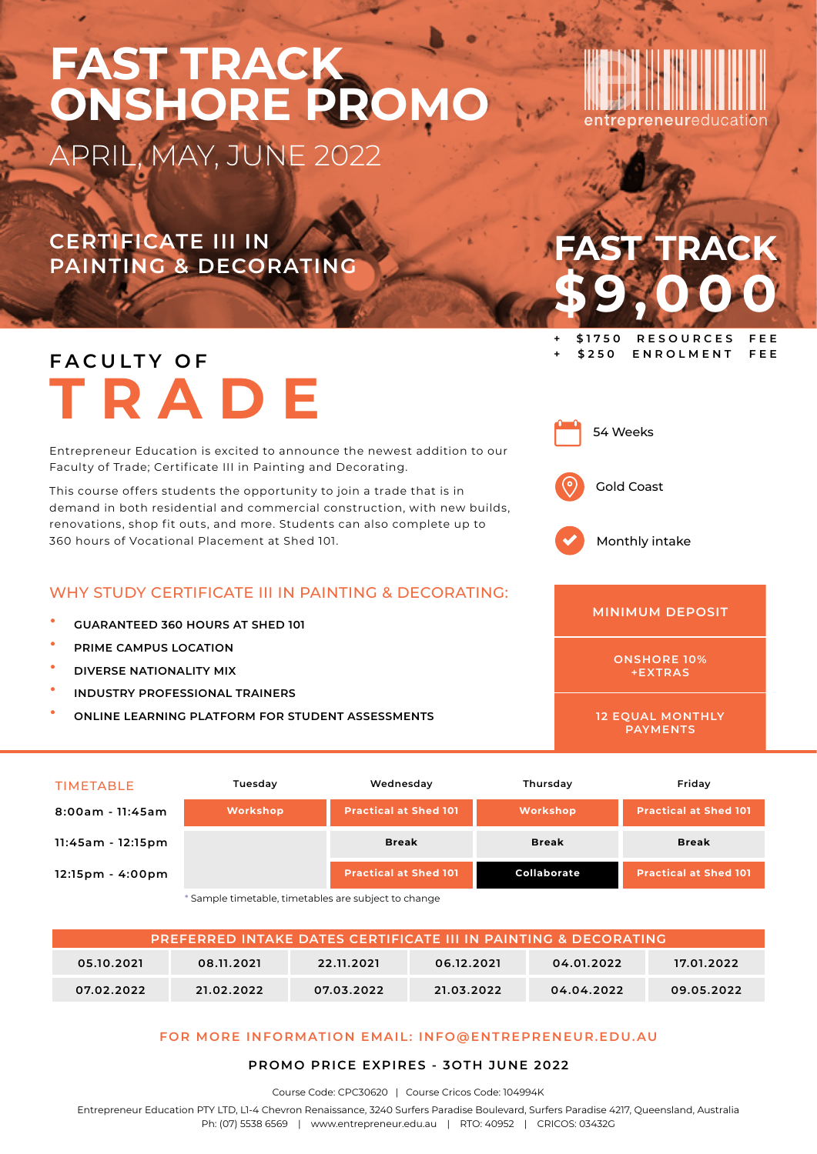## **CERTIFICATE III IN**

**PAINTING & DECORATING**

## **F A C U LT Y O F TRADE**

Entrepreneur Education is excited to announce the newest addition to our Faculty of Trade; Certificate III in Painting and Decorating.

This course offers students the opportunity to join a trade that is in demand in both residential and commercial construction, with new builds, renovations, shop fit outs, and more. Students can also complete up to 360 hours of Vocational Placement at Shed 101.

#### WHY STUDY CERTIFICATE III IN PAINTING & DECORATING:

- **INDUSTRY PROFESSIONAL TRAINERS**
- **ONLINE LEARNING PLATFORM FOR STUDENT ASSESSMENTS**

| <b>GUARANTEED 360 HOURS AT SHED 101</b> | <b>MINIMUN</b> |
|-----------------------------------------|----------------|
| PRIME CAMPUS LOCATION                   |                |
| DIVERSE NATIONALITY MIX                 | ONSHO          |

TIMETABLE **Tuesday Wednesday Thursday Friday 8:00am - 11:45am Workshop Practical at Shed 101 Workshop Practical at Shed 101 11:45am - 12:15pm Break Break Break 12:15pm - 4:00pm Practical at Shed 101 Collaborate Practical at Shed 101**

\* Sample timetable, timetables are subject to change

| <b>PREFERRED INTAKE DATES CERTIFICATE III IN PAINTING &amp; DECORATING</b> |            |            |            |            |            |  |
|----------------------------------------------------------------------------|------------|------------|------------|------------|------------|--|
| 05.10.2021                                                                 | 08.11.2021 | 22.11.2021 | 06.12.2021 | 04.01.2022 | 17.01.2022 |  |
| 07.02.2022                                                                 | 21.02.2022 | 07.03.2022 | 21.03.2022 | 04.04.2022 | 09.05.2022 |  |

#### **FOR MORE INFORMATION EMAIL: INFO@ENTREPRENEUR.EDU.AU**

#### **PROMO PRICE EXPIRES - 3OTH JUNE 2022**

Course Code: CPC30620 | Course Cricos Code: 104994K

Entrepreneur Education PTY LTD, L1-4 Chevron Renaissance, 3240 Surfers Paradise Boulevard, Surfers Paradise 4217, Queensland, Australia Ph: (07) 5538 6569 | www.entrepreneur.edu.au | RTO: 40952 | CRICOS: 03432G

# **\$9,000**



54 Weeks

Monthly intake

#### **DEPOSIT**

**ONSHORE 10% +EXTRAS**

**12 EQUAL MONTHLY PAYMENTS**

**FAST TRACK**

**+ \$1750 RESOURCES FEE + \$250 ENROLMENT FEE**